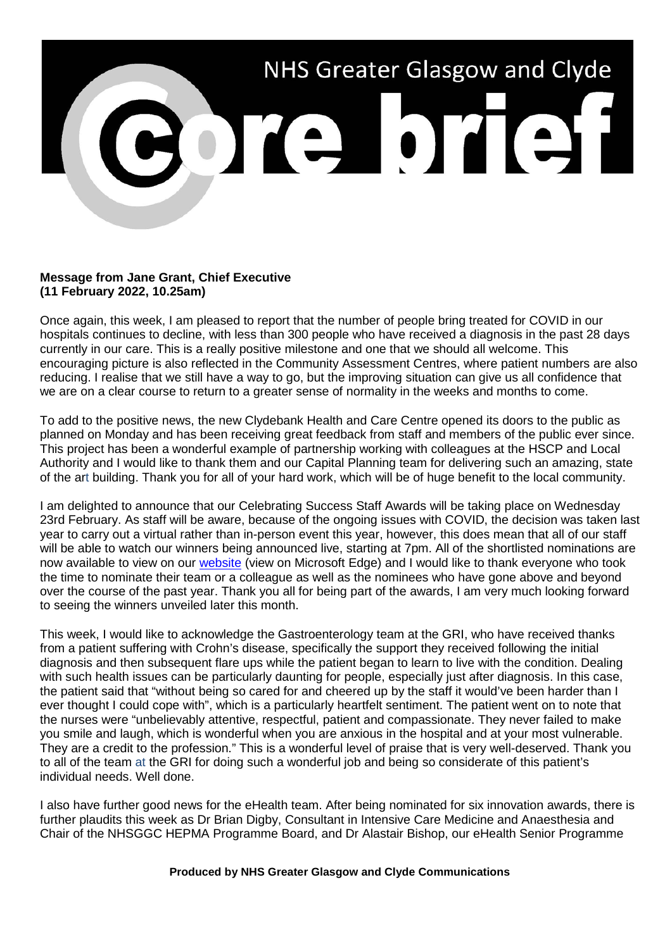

## **Message from Jane Grant, Chief Executive (11 February 2022, 10.25am)**

Once again, this week, I am pleased to report that the number of people bring treated for COVID in our hospitals continues to decline, with less than 300 people who have received a diagnosis in the past 28 days currently in our care. This is a really positive milestone and one that we should all welcome. This encouraging picture is also reflected in the Community Assessment Centres, where patient numbers are also reducing. I realise that we still have a way to go, but the improving situation can give us all confidence that we are on a clear course to return to a greater sense of normality in the weeks and months to come.

To add to the positive news, the new Clydebank Health and Care Centre opened its doors to the public as planned on Monday and has been receiving great feedback from staff and members of the public ever since. This project has been a wonderful example of partnership working with colleagues at the HSCP and Local Authority and I would like to thank them and our Capital Planning team for delivering such an amazing, state of the art building. Thank you for all of your hard work, which will be of huge benefit to the local community.

I am delighted to announce that our Celebrating Success Staff Awards will be taking place on Wednesday 23rd February. As staff will be aware, because of the ongoing issues with COVID, the decision was taken last year to carry out a virtual rather than in-person event this year, however, this does mean that all of our staff will be able to watch our winners being announced live, starting at 7pm. All of the shortlisted nominations are now available to view on our [website](https://www.nhsggc.scot/staff-recruitment/staff-communications/celebrating-success/) (view on Microsoft Edge) and I would like to thank everyone who took the time to nominate their team or a colleague as well as the nominees who have gone above and beyond over the course of the past year. Thank you all for being part of the awards, I am very much looking forward to seeing the winners unveiled later this month.

This week, I would like to acknowledge the Gastroenterology team at the GRI, who have received thanks from a patient suffering with Crohn's disease, specifically the support they received following the initial diagnosis and then subsequent flare ups while the patient began to learn to live with the condition. Dealing with such health issues can be particularly daunting for people, especially just after diagnosis. In this case, the patient said that "without being so cared for and cheered up by the staff it would've been harder than I ever thought I could cope with", which is a particularly heartfelt sentiment. The patient went on to note that the nurses were "unbelievably attentive, respectful, patient and compassionate. They never failed to make you smile and laugh, which is wonderful when you are anxious in the hospital and at your most vulnerable. They are a credit to the profession." This is a wonderful level of praise that is very well-deserved. Thank you to all of the team at the GRI for doing such a wonderful job and being so considerate of this patient's individual needs. Well done.

I also have further good news for the eHealth team. After being nominated for six innovation awards, there is further plaudits this week as Dr Brian Digby, Consultant in Intensive Care Medicine and Anaesthesia and Chair of the NHSGGC HEPMA Programme Board, and Dr Alastair Bishop, our eHealth Senior Programme

## **Produced by NHS Greater Glasgow and Clyde Communications**